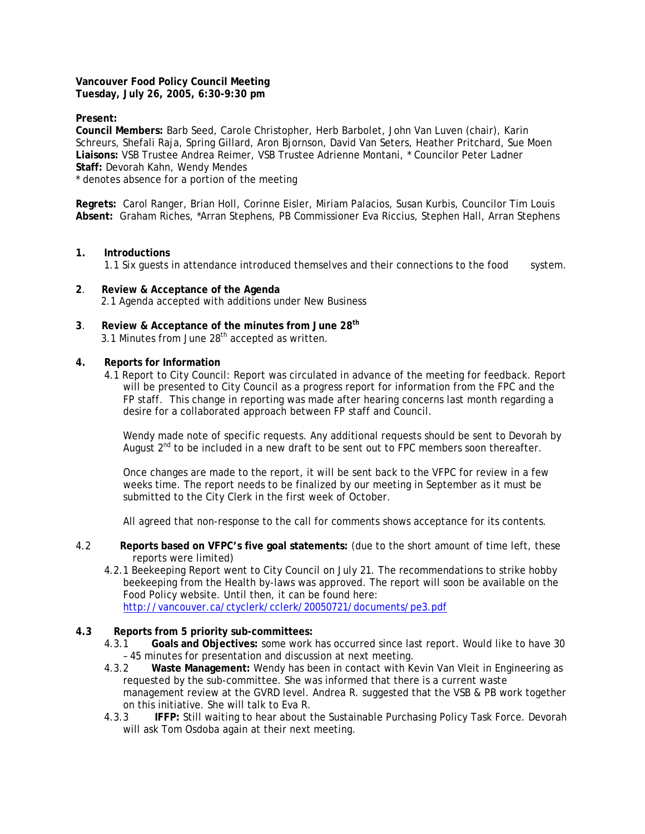**Vancouver Food Policy Council Meeting Tuesday, July 26, 2005, 6:30-9:30 pm** 

**Present:** 

**Council Members:** Barb Seed, Carole Christopher, Herb Barbolet, John Van Luven (chair), Karin Schreurs, Shefali Raja, Spring Gillard, Aron Bjornson, David Van Seters, Heather Pritchard, Sue Moen **Liaisons:** VSB Trustee Andrea Reimer, VSB Trustee Adrienne Montani, \* Councilor Peter Ladner **Staff:** Devorah Kahn, Wendy Mendes

\* denotes absence for a portion of the meeting

**Regrets:** Carol Ranger, Brian Holl, Corinne Eisler, Miriam Palacios, Susan Kurbis, Councilor Tim Louis **Absent:** Graham Riches, \*Arran Stephens, PB Commissioner Eva Riccius, Stephen Hall, Arran Stephens

**1. Introductions**

1.1 Six guests in attendance introduced themselves and their connections to the food system.

- **2**. **Review & Acceptance of the Agenda** 2.1 Agenda accepted with additions under New Business
- **3**. **Review & Acceptance of the minutes from June 28th** 3.1 Minutes from June  $28<sup>th</sup>$  accepted as written.
- **4. Reports for Information**
	- 4.1 Report to City Council: Report was circulated in advance of the meeting for feedback. Report will be presented to City Council as a progress report for information from the FPC and the FP staff. This change in reporting was made after hearing concerns last month regarding a desire for a collaborated approach between FP staff and Council.

Wendy made note of specific requests. Any additional requests should be sent to Devorah by August  $2^{nd}$  to be included in a new draft to be sent out to FPC members soon thereafter.

Once changes are made to the report, it will be sent back to the VFPC for review in a few weeks time. The report needs to be finalized by our meeting in September as it must be submitted to the City Clerk in the first week of October.

All agreed that non-response to the call for comments shows acceptance for its contents.

- 4.2 **Reports based on VFPC's five goal statements:** (due to the short amount of time left, these reports were limited)
	- 4.2.1 Beekeeping Report went to City Council on July 21. The recommendations to strike hobby beekeeping from the Health by-laws was approved. The report will soon be available on the Food Policy website. Until then, it can be found here: <http://vancouver.ca/ctyclerk/cclerk/20050721/documents/pe3.pdf>
- **4.3 Reports from 5 priority sub-committees:** 
	- 4.3.1 **Goals and Objectives:** some work has occurred since last report. Would like to have 30 – 45 minutes for presentation and discussion at next meeting.
	- 4.3.2 **Waste Management:** Wendy has been in contact with Kevin Van Vleit in Engineering as requested by the sub-committee. She was informed that there is a current waste management review at the GVRD level. Andrea R. suggested that the VSB & PB work together on this initiative. She will talk to Eva R.
	- 4.3.3 **IFFP:** Still waiting to hear about the Sustainable Purchasing Policy Task Force. Devorah will ask Tom Osdoba again at their next meeting.